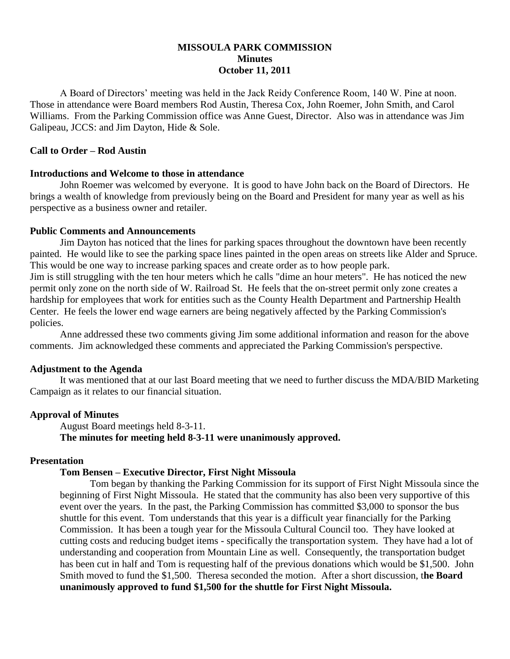## **MISSOULA PARK COMMISSION Minutes October 11, 2011**

A Board of Directors' meeting was held in the Jack Reidy Conference Room, 140 W. Pine at noon. Those in attendance were Board members Rod Austin, Theresa Cox, John Roemer, John Smith, and Carol Williams. From the Parking Commission office was Anne Guest, Director. Also was in attendance was Jim Galipeau, JCCS: and Jim Dayton, Hide & Sole.

## **Call to Order – Rod Austin**

# **Introductions and Welcome to those in attendance**

John Roemer was welcomed by everyone. It is good to have John back on the Board of Directors. He brings a wealth of knowledge from previously being on the Board and President for many year as well as his perspective as a business owner and retailer.

### **Public Comments and Announcements**

Jim Dayton has noticed that the lines for parking spaces throughout the downtown have been recently painted. He would like to see the parking space lines painted in the open areas on streets like Alder and Spruce. This would be one way to increase parking spaces and create order as to how people park. Jim is still struggling with the ten hour meters which he calls "dime an hour meters". He has noticed the new permit only zone on the north side of W. Railroad St. He feels that the on-street permit only zone creates a hardship for employees that work for entities such as the County Health Department and Partnership Health Center. He feels the lower end wage earners are being negatively affected by the Parking Commission's policies.

Anne addressed these two comments giving Jim some additional information and reason for the above comments. Jim acknowledged these comments and appreciated the Parking Commission's perspective.

## **Adjustment to the Agenda**

It was mentioned that at our last Board meeting that we need to further discuss the MDA/BID Marketing Campaign as it relates to our financial situation.

## **Approval of Minutes**

August Board meetings held 8-3-11. **The minutes for meeting held 8-3-11 were unanimously approved.**

## **Presentation**

## **Tom Bensen – Executive Director, First Night Missoula**

Tom began by thanking the Parking Commission for its support of First Night Missoula since the beginning of First Night Missoula. He stated that the community has also been very supportive of this event over the years. In the past, the Parking Commission has committed \$3,000 to sponsor the bus shuttle for this event. Tom understands that this year is a difficult year financially for the Parking Commission. It has been a tough year for the Missoula Cultural Council too. They have looked at cutting costs and reducing budget items - specifically the transportation system. They have had a lot of understanding and cooperation from Mountain Line as well. Consequently, the transportation budget has been cut in half and Tom is requesting half of the previous donations which would be \$1,500. John Smith moved to fund the \$1,500. Theresa seconded the motion. After a short discussion, t**he Board unanimously approved to fund \$1,500 for the shuttle for First Night Missoula.**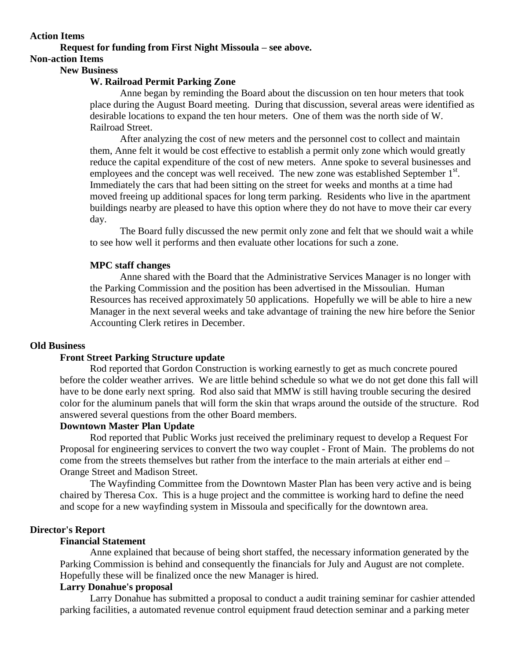#### **Action Items**

# **Request for funding from First Night Missoula – see above.**

# **Non-action Items**

### **New Business**

### **W. Railroad Permit Parking Zone**

Anne began by reminding the Board about the discussion on ten hour meters that took place during the August Board meeting. During that discussion, several areas were identified as desirable locations to expand the ten hour meters. One of them was the north side of W. Railroad Street.

After analyzing the cost of new meters and the personnel cost to collect and maintain them, Anne felt it would be cost effective to establish a permit only zone which would greatly reduce the capital expenditure of the cost of new meters. Anne spoke to several businesses and employees and the concept was well received. The new zone was established September  $1<sup>st</sup>$ . Immediately the cars that had been sitting on the street for weeks and months at a time had moved freeing up additional spaces for long term parking. Residents who live in the apartment buildings nearby are pleased to have this option where they do not have to move their car every day.

The Board fully discussed the new permit only zone and felt that we should wait a while to see how well it performs and then evaluate other locations for such a zone.

#### **MPC staff changes**

Anne shared with the Board that the Administrative Services Manager is no longer with the Parking Commission and the position has been advertised in the Missoulian. Human Resources has received approximately 50 applications. Hopefully we will be able to hire a new Manager in the next several weeks and take advantage of training the new hire before the Senior Accounting Clerk retires in December.

#### **Old Business**

## **Front Street Parking Structure update**

Rod reported that Gordon Construction is working earnestly to get as much concrete poured before the colder weather arrives. We are little behind schedule so what we do not get done this fall will have to be done early next spring. Rod also said that MMW is still having trouble securing the desired color for the aluminum panels that will form the skin that wraps around the outside of the structure. Rod answered several questions from the other Board members.

## **Downtown Master Plan Update**

Rod reported that Public Works just received the preliminary request to develop a Request For Proposal for engineering services to convert the two way couplet - Front of Main. The problems do not come from the streets themselves but rather from the interface to the main arterials at either end – Orange Street and Madison Street.

The Wayfinding Committee from the Downtown Master Plan has been very active and is being chaired by Theresa Cox. This is a huge project and the committee is working hard to define the need and scope for a new wayfinding system in Missoula and specifically for the downtown area.

### **Director's Report**

## **Financial Statement**

Anne explained that because of being short staffed, the necessary information generated by the Parking Commission is behind and consequently the financials for July and August are not complete. Hopefully these will be finalized once the new Manager is hired.

#### **Larry Donahue's proposal**

Larry Donahue has submitted a proposal to conduct a audit training seminar for cashier attended parking facilities, a automated revenue control equipment fraud detection seminar and a parking meter